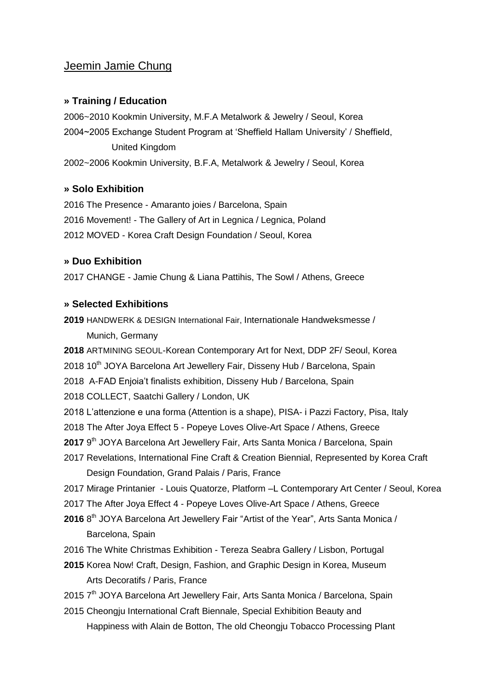# Jeemin Jamie Chung

## **» Training / Education**

2006~2010 Kookmin University, M.F.A Metalwork & Jewelry / Seoul, Korea 2004~2005 Exchange Student Program at 'Sheffield Hallam University' / Sheffield, United Kingdom 2002~2006 Kookmin University, B.F.A, Metalwork & Jewelry / Seoul, Korea

## **» Solo Exhibition**

2016 The Presence - Amaranto joies / Barcelona, Spain 2016 Movement! - The Gallery of Art in Legnica / Legnica, Poland 2012 MOVED - Korea Craft Design Foundation / Seoul, Korea

## **» Duo Exhibition**

2017 CHANGE - Jamie Chung & Liana Pattihis, The Sowl / Athens, Greece

### **» Selected Exhibitions**

**2019** HANDWERK & DESIGN International Fair, Internationale Handweksmesse / Munich, Germany

**2018** ARTMINING SEOUL-Korean Contemporary Art for Next, DDP 2F/ Seoul, Korea

2018 10<sup>th</sup> JOYA Barcelona Art Jewellery Fair, Disseny Hub / Barcelona, Spain

2018 A-FAD Enjoia't finalists exhibition, Disseny Hub / Barcelona, Spain

2018 COLLECT, Saatchi Gallery / London, UK

2018 L'attenzione e una forma (Attention is a shape), PISA- i Pazzi Factory, Pisa, Italy

2018 The After Joya Effect 5 - Popeye Loves Olive-Art Space / Athens, Greece

2017 9<sup>th</sup> JOYA Barcelona Art Jewellery Fair, Arts Santa Monica / Barcelona, Spain

2017 Revelations, International Fine Craft & Creation Biennial, Represented by Korea Craft

Design Foundation, Grand Palais / Paris, France

- 2017 Mirage Printanier Louis Quatorze, Platform –L Contemporary Art Center / Seoul, Korea
- 2017 The After Joya Effect 4 Popeye Loves Olive-Art Space / Athens, Greece
- 2016 8<sup>th</sup> JOYA Barcelona Art Jewellery Fair "Artist of the Year", Arts Santa Monica / Barcelona, Spain
- 2016 The White Christmas Exhibition Tereza Seabra Gallery / Lisbon, Portugal

**2015** Korea Now! Craft, Design, Fashion, and Graphic Design in Korea, Museum Arts Decoratifs / Paris, France

2015 7<sup>th</sup> JOYA Barcelona Art Jewellery Fair, Arts Santa Monica / Barcelona, Spain

2015 Cheongju International Craft Biennale, Special Exhibition Beauty and Happiness with Alain de Botton, The old Cheongju Tobacco Processing Plant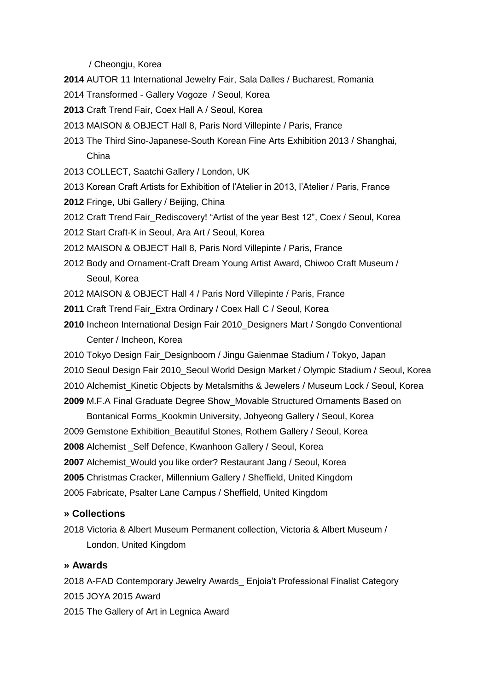/ Cheongju, Korea

- **2014** AUTOR 11 International Jewelry Fair, Sala Dalles / Bucharest, Romania
- 2014 Transformed Gallery Vogoze / Seoul, Korea
- **2013** Craft Trend Fair, Coex Hall A / Seoul, Korea
- 2013 MAISON & OBJECT Hall 8, Paris Nord Villepinte / Paris, France
- 2013 The Third Sino-Japanese-South Korean Fine Arts Exhibition 2013 / Shanghai, China
- 2013 COLLECT, Saatchi Gallery / London, UK
- 2013 Korean Craft Artists for Exhibition of l'Atelier in 2013, l'Atelier / Paris, France
- **2012** Fringe, Ubi Gallery / Beijing, China
- 2012 Craft Trend Fair Rediscovery! "Artist of the year Best 12", Coex / Seoul, Korea
- 2012 Start Craft-K in Seoul, Ara Art / Seoul, Korea
- 2012 MAISON & OBJECT Hall 8, Paris Nord Villepinte / Paris, France
- 2012 Body and Ornament-Craft Dream Young Artist Award, Chiwoo Craft Museum / Seoul, Korea
- 2012 MAISON & OBJECT Hall 4 / Paris Nord Villepinte / Paris, France
- **2011** Craft Trend Fair\_Extra Ordinary / Coex Hall C / Seoul, Korea
- **2010** Incheon International Design Fair 2010\_Designers Mart / Songdo Conventional Center / Incheon, Korea
- 2010 Tokyo Design Fair\_Designboom / Jingu Gaienmae Stadium / Tokyo, Japan
- 2010 Seoul Design Fair 2010\_Seoul World Design Market / Olympic Stadium / Seoul, Korea
- 2010 Alchemist\_Kinetic Objects by Metalsmiths & Jewelers / Museum Lock / Seoul, Korea

**2009** M.F.A Final Graduate Degree Show\_Movable Structured Ornaments Based on

 Bontanical Forms\_Kookmin University, Johyeong Gallery / Seoul, Korea 2009 Gemstone Exhibition\_Beautiful Stones, Rothem Gallery / Seoul, Korea **2008** Alchemist \_Self Defence, Kwanhoon Gallery / Seoul, Korea **2007** Alchemist\_Would you like order? Restaurant Jang / Seoul, Korea **2005** Christmas Cracker, Millennium Gallery / Sheffield, United Kingdom 2005 Fabricate, Psalter Lane Campus / Sheffield, United Kingdom

### **» Collections**

2018 Victoria & Albert Museum Permanent collection, Victoria & Albert Museum / London, United Kingdom

#### **» Awards**

2018 A-FAD Contemporary Jewelry Awards\_ Enjoia't Professional Finalist Category 2015 JOYA 2015 Award 2015 The Gallery of Art in Legnica Award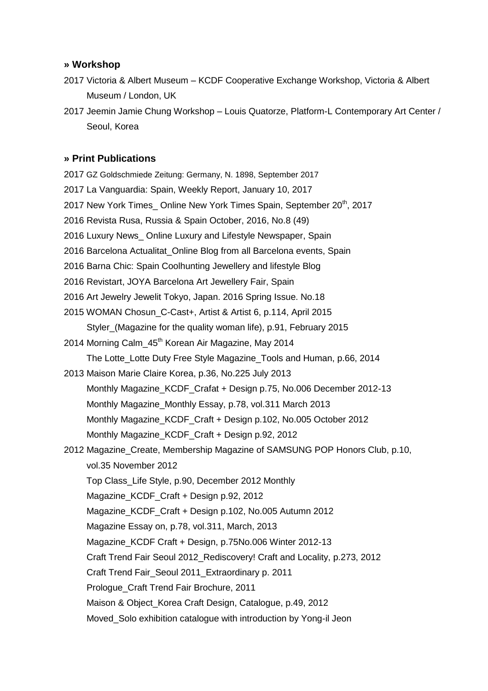### **» Workshop**

- 2017 Victoria & Albert Museum KCDF Cooperative Exchange Workshop, Victoria & Albert Museum / London, UK
- 2017 Jeemin Jamie Chung Workshop Louis Quatorze, Platform-L Contemporary Art Center / Seoul, Korea

### **» Print Publications**

2017 GZ Goldschmiede Zeitung: Germany, N. 1898, September 2017 2017 La Vanguardia: Spain, Weekly Report, January 10, 2017 2017 New York Times Online New York Times Spain, September 20<sup>th</sup>, 2017 2016 Revista Rusa, Russia & Spain October, 2016, No.8 (49) 2016 Luxury News\_ Online Luxury and Lifestyle Newspaper, Spain 2016 Barcelona Actualitat Online Blog from all Barcelona events, Spain 2016 Barna Chic: Spain Coolhunting Jewellery and lifestyle Blog 2016 Revistart, JOYA Barcelona Art Jewellery Fair, Spain 2016 Art Jewelry Jewelit Tokyo, Japan. 2016 Spring Issue. No.18 2015 WOMAN Chosun\_C-Cast+, Artist & Artist 6, p.114, April 2015 Styler\_(Magazine for the quality woman life), p.91, February 2015 2014 Morning Calm 45<sup>th</sup> Korean Air Magazine, May 2014 The Lotte\_Lotte Duty Free Style Magazine\_Tools and Human, p.66, 2014 2013 Maison Marie Claire Korea, p.36, No.225 July 2013 Monthly Magazine\_KCDF\_Crafat + Design p.75, No.006 December 2012-13 Monthly Magazine\_Monthly Essay, p.78, vol.311 March 2013 Monthly Magazine\_KCDF\_Craft + Design p.102, No.005 October 2012 Monthly Magazine\_KCDF\_Craft + Design p.92, 2012 2012 Magazine\_Create, Membership Magazine of SAMSUNG POP Honors Club, p.10, vol.35 November 2012 Top Class\_Life Style, p.90, December 2012 Monthly Magazine\_KCDF\_Craft + Design p.92, 2012 Magazine\_KCDF\_Craft + Design p.102, No.005 Autumn 2012 Magazine Essay on, p.78, vol.311, March, 2013 Magazine\_KCDF Craft + Design, p.75No.006 Winter 2012-13 Craft Trend Fair Seoul 2012\_Rediscovery! Craft and Locality, p.273, 2012 Craft Trend Fair\_Seoul 2011\_Extraordinary p. 2011 Prologue\_Craft Trend Fair Brochure, 2011 Maison & Object\_Korea Craft Design, Catalogue, p.49, 2012 Moved Solo exhibition catalogue with introduction by Yong-il Jeon